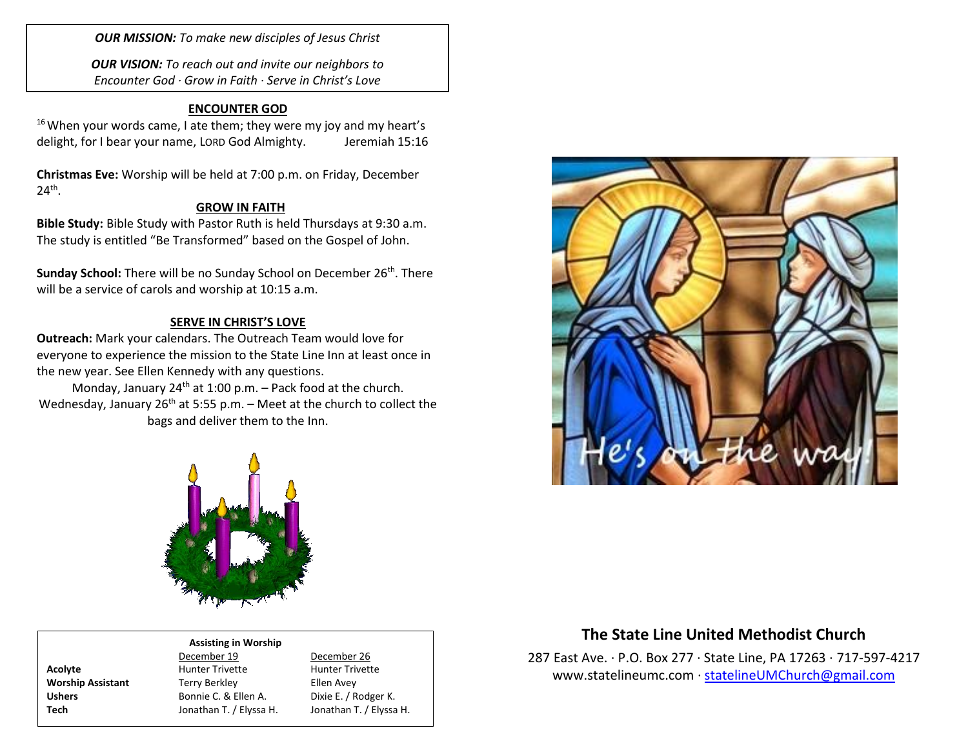*OUR MISSION: To make new disciples of Jesus Christ*

*OUR VISION: To reach out and invite our neighbors to Encounter God · Grow in Faith · Serve in Christ's Love*

## **ENCOUNTER GOD**

 $16$  When your words came, I ate them; they were my joy and my heart's delight, for I bear your name, LORD God Almighty. Jeremiah 15:16

**Christmas Eve:** Worship will be held at 7:00 p.m. on Friday, December  $24^{\text{th}}$ .

## **GROW IN FAITH**

**Bible Study:** Bible Study with Pastor Ruth is held Thursdays at 9:30 a.m. The study is entitled "Be Transformed" based on the Gospel of John.

**Sunday School:** There will be no Sunday School on December 26<sup>th</sup>. There will be a service of carols and worship at 10:15 a.m.

## **SERVE IN CHRIST'S LOVE**

**Outreach:** Mark your calendars. The Outreach Team would love for everyone to experience the mission to the State Line Inn at least once in the new year. See Ellen Kennedy with any questions.

Monday, January  $24<sup>th</sup>$  at 1:00 p.m. – Pack food at the church. Wednesday, January  $26<sup>th</sup>$  at 5:55 p.m. – Meet at the church to collect the bags and deliver them to the Inn.





#### **Assisting in Worship**

December 19 December 26 Acolyte **Acolyte** Hunter Trivette **Hunter Trivette Worship Assistant** Terry Berkley **Ellen Avey** Ushers Bonnie C. & Ellen A. Dixie E. / Rodger K. **Tech** Jonathan T. / Elyssa H. Jonathan T. / Elyssa H.

# **The State Line United Methodist Church**

287 East Ave. · P.O. Box 277 · State Line, PA 17263 · 717-597-4217 [www.statelineumc.com](http://www.statelineumc.com/) · [statelineUMChurch@gmail.com](mailto:statelineUMChurch@gmail.com)